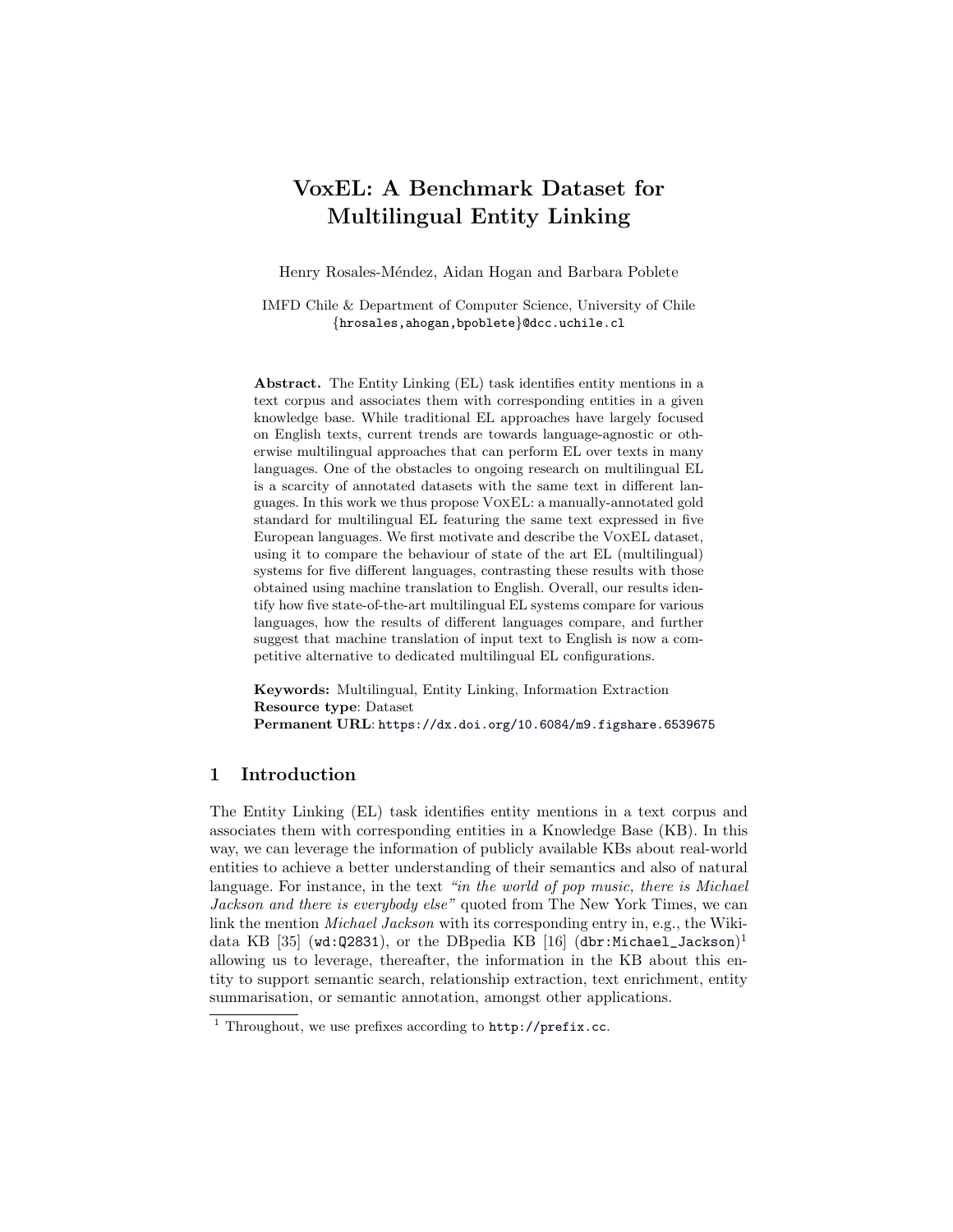# VoxEL: A Benchmark Dataset for Multilingual Entity Linking

Henry Rosales-Méndez, Aidan Hogan and Barbara Poblete

IMFD Chile & Department of Computer Science, University of Chile {hrosales,ahogan,bpoblete}@dcc.uchile.cl

Abstract. The Entity Linking (EL) task identifies entity mentions in a text corpus and associates them with corresponding entities in a given knowledge base. While traditional EL approaches have largely focused on English texts, current trends are towards language-agnostic or otherwise multilingual approaches that can perform EL over texts in many languages. One of the obstacles to ongoing research on multilingual EL is a scarcity of annotated datasets with the same text in different languages. In this work we thus propose VoxEL: a manually-annotated gold standard for multilingual EL featuring the same text expressed in five European languages. We first motivate and describe the VoxEL dataset, using it to compare the behaviour of state of the art EL (multilingual) systems for five different languages, contrasting these results with those obtained using machine translation to English. Overall, our results identify how five state-of-the-art multilingual EL systems compare for various languages, how the results of different languages compare, and further suggest that machine translation of input text to English is now a competitive alternative to dedicated multilingual EL configurations.

Keywords: Multilingual, Entity Linking, Information Extraction Resource type: Dataset Permanent URL: <https://dx.doi.org/10.6084/m9.figshare.6539675>

## 1 Introduction

The Entity Linking (EL) task identifies entity mentions in a text corpus and associates them with corresponding entities in a Knowledge Base (KB). In this way, we can leverage the information of publicly available KBs about real-world entities to achieve a better understanding of their semantics and also of natural language. For instance, in the text "in the world of pop music, there is Michael Jackson and there is everybody else" quoted from The New York Times, we can link the mention Michael Jackson with its corresponding entry in, e.g., the Wiki-data KB [\[35\]](#page-15-0) (<wd:Q2831>), or the DBpedia KB [\[16\]](#page-15-1) ([dbr:Michael\\_Jackson](dbr:Michael_Jackson))<sup>[1](#page-0-0)</sup> allowing us to leverage, thereafter, the information in the KB about this entity to support semantic search, relationship extraction, text enrichment, entity summarisation, or semantic annotation, amongst other applications.

<span id="page-0-0"></span><sup>&</sup>lt;sup>1</sup> Throughout, we use prefixes according to  $http://prefix.cc.$  $http://prefix.cc.$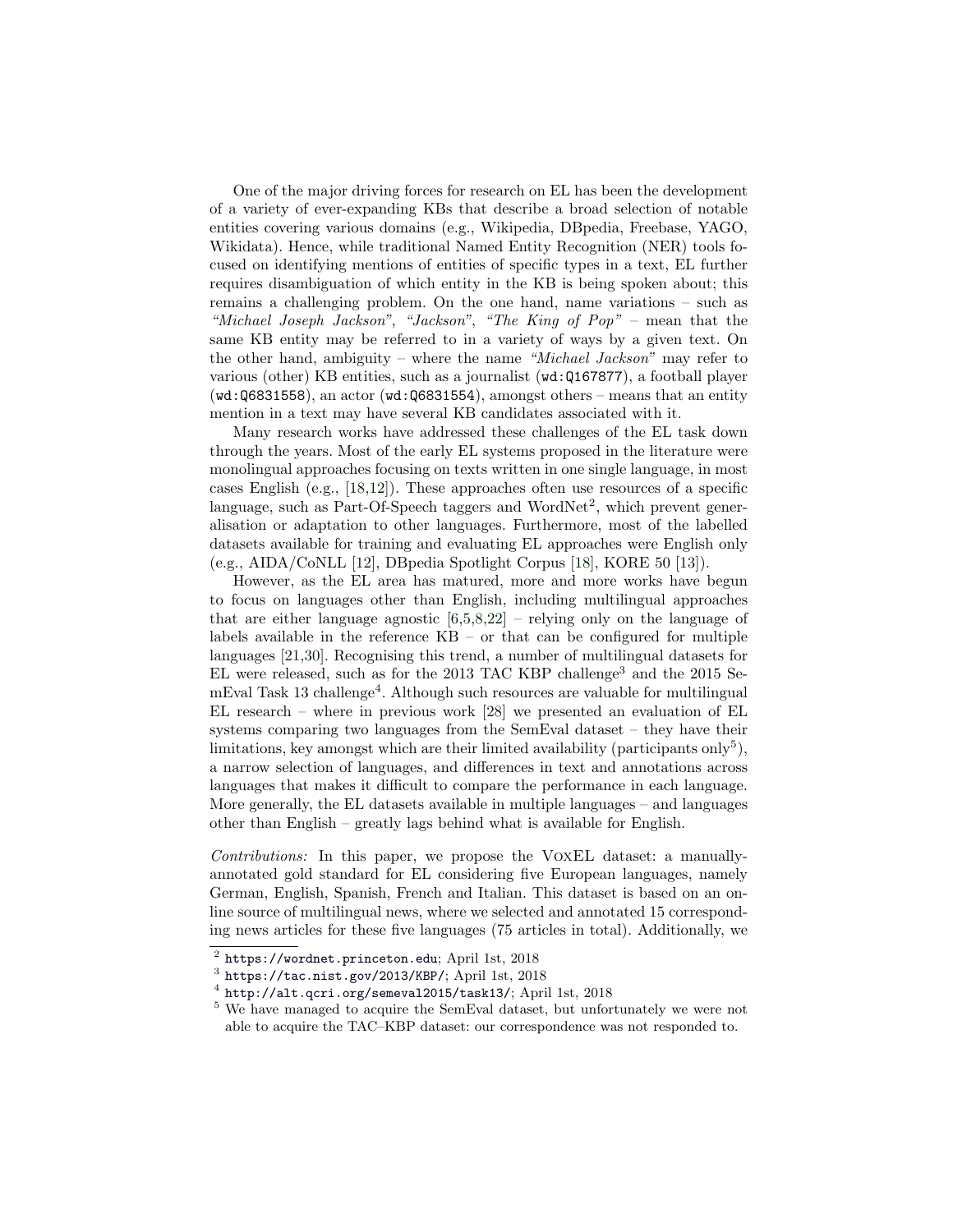One of the major driving forces for research on EL has been the development of a variety of ever-expanding KBs that describe a broad selection of notable entities covering various domains (e.g., Wikipedia, DBpedia, Freebase, YAGO, Wikidata). Hence, while traditional Named Entity Recognition (NER) tools focused on identifying mentions of entities of specific types in a text, EL further requires disambiguation of which entity in the KB is being spoken about; this remains a challenging problem. On the one hand, name variations – such as "Michael Joseph Jackson", "Jackson", "The King of Pop" – mean that the same KB entity may be referred to in a variety of ways by a given text. On the other hand, ambiguity – where the name "Michael Jackson" may refer to various (other) KB entities, such as a journalist (wd:Q167877), a football player  $(wd:Q6831558)$ , an actor  $(wd:Q6831554)$ , amongst others – means that an entity mention in a text may have several KB candidates associated with it.

Many research works have addressed these challenges of the EL task down through the years. Most of the early EL systems proposed in the literature were monolingual approaches focusing on texts written in one single language, in most cases English (e.g., [\[18,](#page-15-2)[12\]](#page-14-0)). These approaches often use resources of a specific language, such as Part-Of-Speech taggers and WordNet<sup>[2](#page-1-0)</sup>, which prevent generalisation or adaptation to other languages. Furthermore, most of the labelled datasets available for training and evaluating EL approaches were English only (e.g., AIDA/CoNLL [\[12\]](#page-14-0), DBpedia Spotlight Corpus [\[18\]](#page-15-2), KORE 50 [\[13\]](#page-14-1)).

However, as the EL area has matured, more and more works have begun to focus on languages other than English, including multilingual approaches that are either language agnostic [\[6,](#page-14-2)[5,](#page-14-3)[8](#page-14-4)[,22\]](#page-15-3) – relying only on the language of labels available in the reference  $KB - or$  that can be configured for multiple languages [\[21,](#page-15-4)[30\]](#page-15-5). Recognising this trend, a number of multilingual datasets for EL were released, such as for the 2013 TAC KBP challenge[3](#page-1-1) and the 2015 Se-mEval Task 13 challenge<sup>[4](#page-1-2)</sup>. Although such resources are valuable for multilingual EL research – where in previous work [\[28\]](#page-15-6) we presented an evaluation of EL systems comparing two languages from the SemEval dataset – they have their limitations, key amongst which are their limited availability (participants only<sup>[5](#page-1-3)</sup>), a narrow selection of languages, and differences in text and annotations across languages that makes it difficult to compare the performance in each language. More generally, the EL datasets available in multiple languages – and languages other than English – greatly lags behind what is available for English.

Contributions: In this paper, we propose the VoxEL dataset: a manuallyannotated gold standard for EL considering five European languages, namely German, English, Spanish, French and Italian. This dataset is based on an online source of multilingual news, where we selected and annotated 15 corresponding news articles for these five languages (75 articles in total). Additionally, we

<span id="page-1-0"></span> $^2$  <https://wordnet.princeton.edu>; April 1st, 2018

<span id="page-1-1"></span> $3$  <https://tac.nist.gov/2013/KBP/>; April 1st, 2018

<span id="page-1-2"></span> $^4$  <http://alt.qcri.org/semeval2015/task13/>; April 1st, 2018

<span id="page-1-3"></span><sup>5</sup> We have managed to acquire the SemEval dataset, but unfortunately we were not able to acquire the TAC–KBP dataset: our correspondence was not responded to.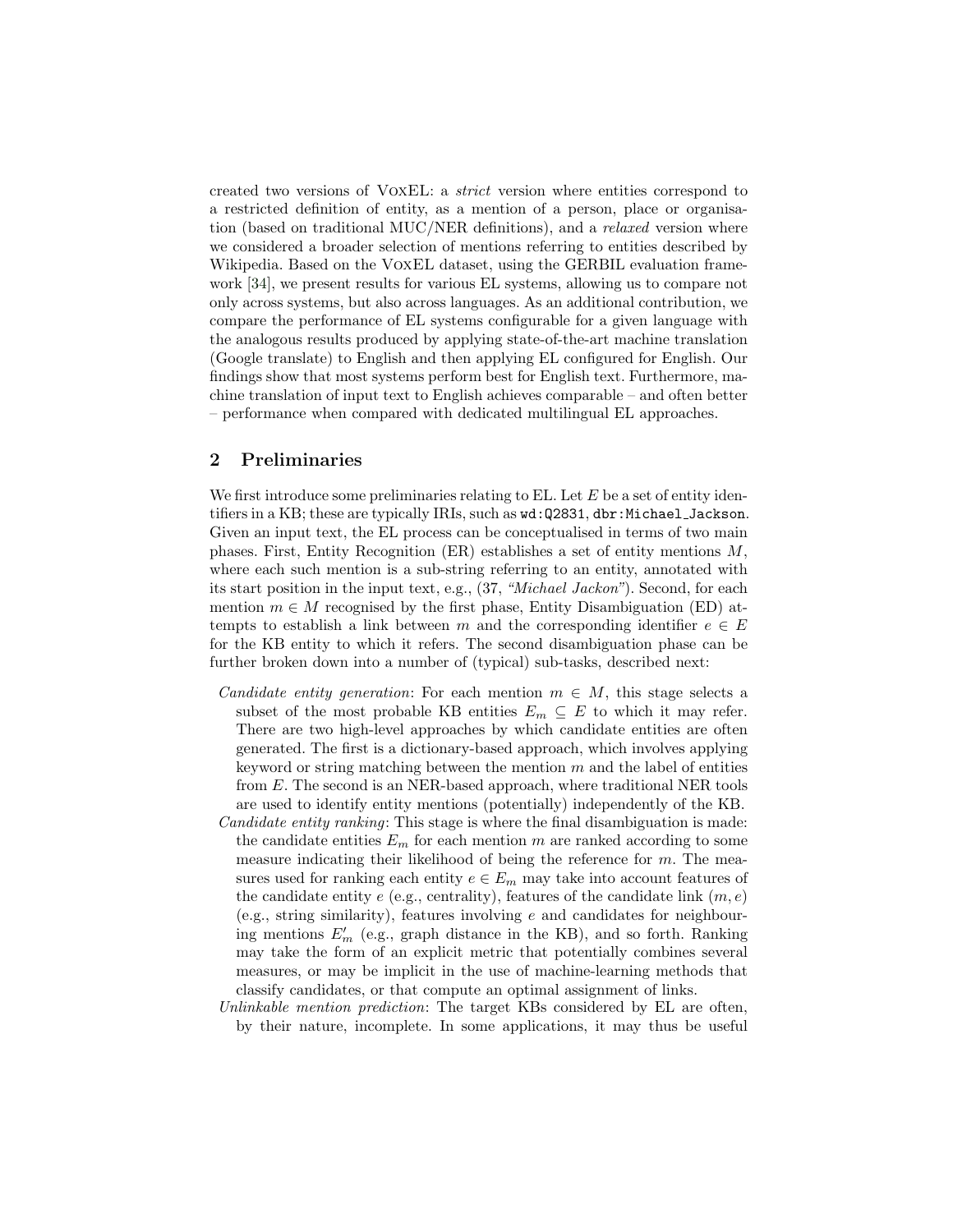created two versions of VoxEL: a strict version where entities correspond to a restricted definition of entity, as a mention of a person, place or organisation (based on traditional MUC/NER definitions), and a relaxed version where we considered a broader selection of mentions referring to entities described by Wikipedia. Based on the VoxEL dataset, using the GERBIL evaluation framework [\[34\]](#page-15-7), we present results for various EL systems, allowing us to compare not only across systems, but also across languages. As an additional contribution, we compare the performance of EL systems configurable for a given language with the analogous results produced by applying state-of-the-art machine translation (Google translate) to English and then applying EL configured for English. Our findings show that most systems perform best for English text. Furthermore, machine translation of input text to English achieves comparable – and often better – performance when compared with dedicated multilingual EL approaches.

## 2 Preliminaries

We first introduce some preliminaries relating to EL. Let  $E$  be a set of entity identifiers in a KB; these are typically IRIs, such as wd:Q2831, dbr:Michael Jackson. Given an input text, the EL process can be conceptualised in terms of two main phases. First, Entity Recognition (ER) establishes a set of entity mentions M, where each such mention is a sub-string referring to an entity, annotated with its start position in the input text, e.g., (37, "Michael Jackon"). Second, for each mention  $m \in M$  recognised by the first phase, Entity Disambiguation (ED) attempts to establish a link between m and the corresponding identifier  $e \in E$ for the KB entity to which it refers. The second disambiguation phase can be further broken down into a number of (typical) sub-tasks, described next:

- Candidate entity generation: For each mention  $m \in M$ , this stage selects a subset of the most probable KB entities  $E_m \subseteq E$  to which it may refer. There are two high-level approaches by which candidate entities are often generated. The first is a dictionary-based approach, which involves applying keyword or string matching between the mention m and the label of entities from E. The second is an NER-based approach, where traditional NER tools are used to identify entity mentions (potentially) independently of the KB.
- Candidate entity ranking: This stage is where the final disambiguation is made: the candidate entities  $E_m$  for each mention m are ranked according to some measure indicating their likelihood of being the reference for  $m$ . The measures used for ranking each entity  $e \in E_m$  may take into account features of the candidate entity  $e$  (e.g., centrality), features of the candidate link  $(m, e)$ (e.g., string similarity), features involving  $e$  and candidates for neighbouring mentions  $E'_m$  (e.g., graph distance in the KB), and so forth. Ranking may take the form of an explicit metric that potentially combines several measures, or may be implicit in the use of machine-learning methods that classify candidates, or that compute an optimal assignment of links.
- Unlinkable mention prediction: The target KBs considered by EL are often, by their nature, incomplete. In some applications, it may thus be useful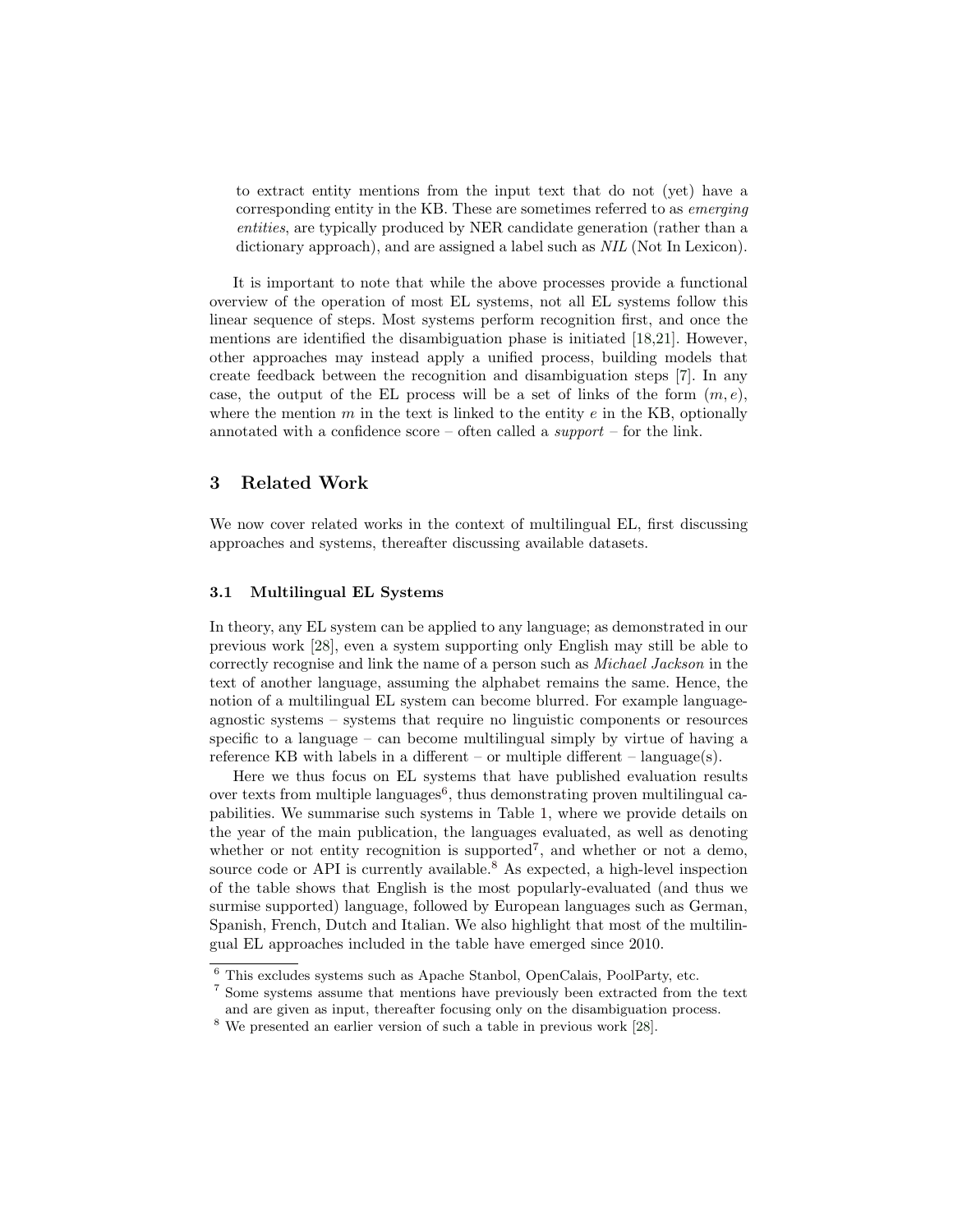to extract entity mentions from the input text that do not (yet) have a corresponding entity in the KB. These are sometimes referred to as emerging entities, are typically produced by NER candidate generation (rather than a dictionary approach), and are assigned a label such as NIL (Not In Lexicon).

It is important to note that while the above processes provide a functional overview of the operation of most EL systems, not all EL systems follow this linear sequence of steps. Most systems perform recognition first, and once the mentions are identified the disambiguation phase is initiated [\[18,](#page-15-2)[21\]](#page-15-4). However, other approaches may instead apply a unified process, building models that create feedback between the recognition and disambiguation steps [\[7\]](#page-14-5). In any case, the output of the EL process will be a set of links of the form  $(m, e)$ , where the mention  $m$  in the text is linked to the entity  $e$  in the KB, optionally annotated with a confidence score – often called a support – for the link.

## 3 Related Work

We now cover related works in the context of multilingual EL, first discussing approaches and systems, thereafter discussing available datasets.

#### 3.1 Multilingual EL Systems

In theory, any EL system can be applied to any language; as demonstrated in our previous work [\[28\]](#page-15-6), even a system supporting only English may still be able to correctly recognise and link the name of a person such as Michael Jackson in the text of another language, assuming the alphabet remains the same. Hence, the notion of a multilingual EL system can become blurred. For example languageagnostic systems – systems that require no linguistic components or resources specific to a language – can become multilingual simply by virtue of having a reference KB with labels in a different – or multiple different – language(s).

Here we thus focus on EL systems that have published evaluation results over texts from multiple languages<sup>[6](#page-3-0)</sup>, thus demonstrating proven multilingual capabilities. We summarise such systems in Table [1,](#page-4-0) where we provide details on the year of the main publication, the languages evaluated, as well as denoting whether or not entity recognition is supported<sup>[7](#page-3-1)</sup>, and whether or not a demo, source code or API is currently available.<sup>[8](#page-3-2)</sup> As expected, a high-level inspection of the table shows that English is the most popularly-evaluated (and thus we surmise supported) language, followed by European languages such as German, Spanish, French, Dutch and Italian. We also highlight that most of the multilingual EL approaches included in the table have emerged since 2010.

<span id="page-3-0"></span> $6$  This excludes systems such as Apache Stanbol, OpenCalais, PoolParty, etc.

<span id="page-3-1"></span><sup>7</sup> Some systems assume that mentions have previously been extracted from the text

and are given as input, thereafter focusing only on the disambiguation process.

<span id="page-3-2"></span><sup>8</sup> We presented an earlier version of such a table in previous work [\[28\]](#page-15-6).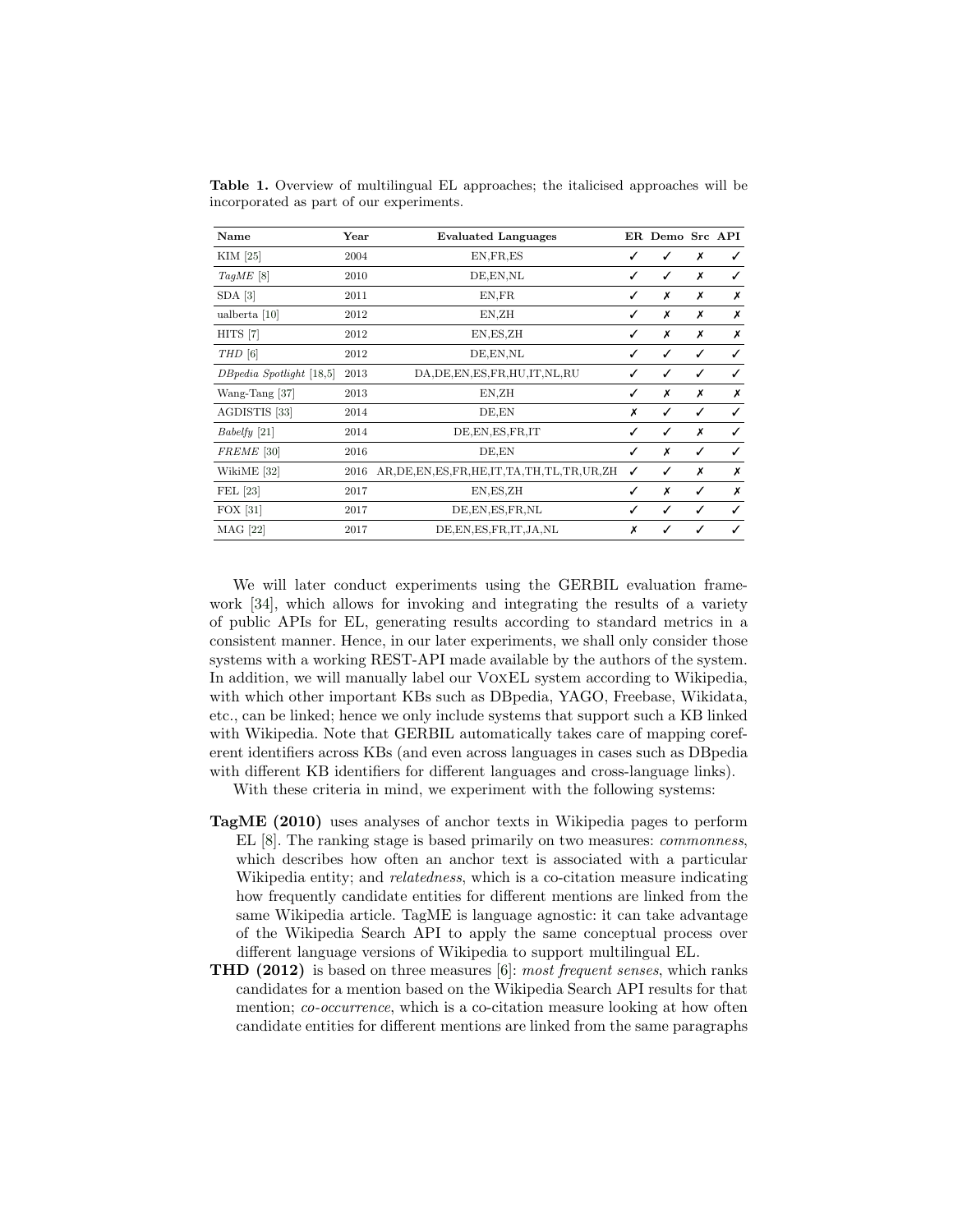<span id="page-4-0"></span>Table 1. Overview of multilingual EL approaches; the italicised approaches will be incorporated as part of our experiments.

| Name                         | Year | <b>Evaluated Languages</b>                         |   | ER Demo Src API |   |   |
|------------------------------|------|----------------------------------------------------|---|-----------------|---|---|
| KIM [25]                     | 2004 | EN, FR, ES                                         | ✓ | ✓               | х | ✓ |
| TagME [8]                    | 2010 | DE,EN,NL                                           | ✓ | ✓               | Х | ✓ |
| $SDA$ [3]                    | 2011 | EN,FR                                              | ✓ | х               | Х | Х |
| ualberta $[10]$              | 2012 | EN,ZH                                              | ✓ | Х               | Х | Х |
| HITS [7]                     | 2012 | EN, ES, ZH                                         | ✓ | Х               | Х | Х |
| $THD$ [6]                    | 2012 | DE, EN, NL                                         | ✓ | ✓               | ✓ | ✓ |
| $DBpedia$ Spotlight $[18,5]$ | 2013 | DA, DE, EN, ES, FR, HU, IT, NL, RU                 | ✓ | ✓               | ✓ | ✓ |
| Wang-Tang [37]               | 2013 | EN,ZH                                              | ✓ | Х               | Х | Х |
| AGDISTIS <sup>[33]</sup>     | 2014 | DE,EN                                              | х | ✓               | ✓ | ✓ |
| $Babelfy$ [21]               | 2014 | DE, EN, ES, FR, IT                                 | ✓ | ✓               | Х | ✓ |
| FREME <sup>[30]</sup>        | 2016 | DE,EN                                              | ✓ | Х               | ✓ | ✓ |
| WikiME [32]                  | 2016 | AR, DE, EN, ES, FR, HE, IT, TA, TH, TL, TR, UR, ZH | ✓ | ✓               | Х | Х |
| FEL [23]                     | 2017 | EN,ES,ZH                                           | ✓ | Х               | ✓ | Х |
| FOX $[31]$                   | 2017 | DE, EN, ES, FR, NL                                 | ✓ | ✓               | ✓ | ✓ |
| MAG [22]                     | 2017 | DE, EN, ES, FR, IT, JA, NL                         | х | ✓               | ✓ | ✓ |

We will later conduct experiments using the GERBIL evaluation framework [\[34\]](#page-15-7), which allows for invoking and integrating the results of a variety of public APIs for EL, generating results according to standard metrics in a consistent manner. Hence, in our later experiments, we shall only consider those systems with a working REST-API made available by the authors of the system. In addition, we will manually label our VoxEL system according to Wikipedia, with which other important KBs such as DBpedia, YAGO, Freebase, Wikidata, etc., can be linked; hence we only include systems that support such a KB linked with Wikipedia. Note that GERBIL automatically takes care of mapping coreferent identifiers across KBs (and even across languages in cases such as DBpedia with different KB identifiers for different languages and cross-language links).

With these criteria in mind, we experiment with the following systems:

- TagME (2010) uses analyses of anchor texts in Wikipedia pages to perform EL [\[8\]](#page-14-4). The ranking stage is based primarily on two measures: commonness, which describes how often an anchor text is associated with a particular Wikipedia entity; and *relatedness*, which is a co-citation measure indicating how frequently candidate entities for different mentions are linked from the same Wikipedia article. TagME is language agnostic: it can take advantage of the Wikipedia Search API to apply the same conceptual process over different language versions of Wikipedia to support multilingual EL.
- THD (2012) is based on three measures [\[6\]](#page-14-2): most frequent senses, which ranks candidates for a mention based on the Wikipedia Search API results for that mention; *co-occurrence*, which is a co-citation measure looking at how often candidate entities for different mentions are linked from the same paragraphs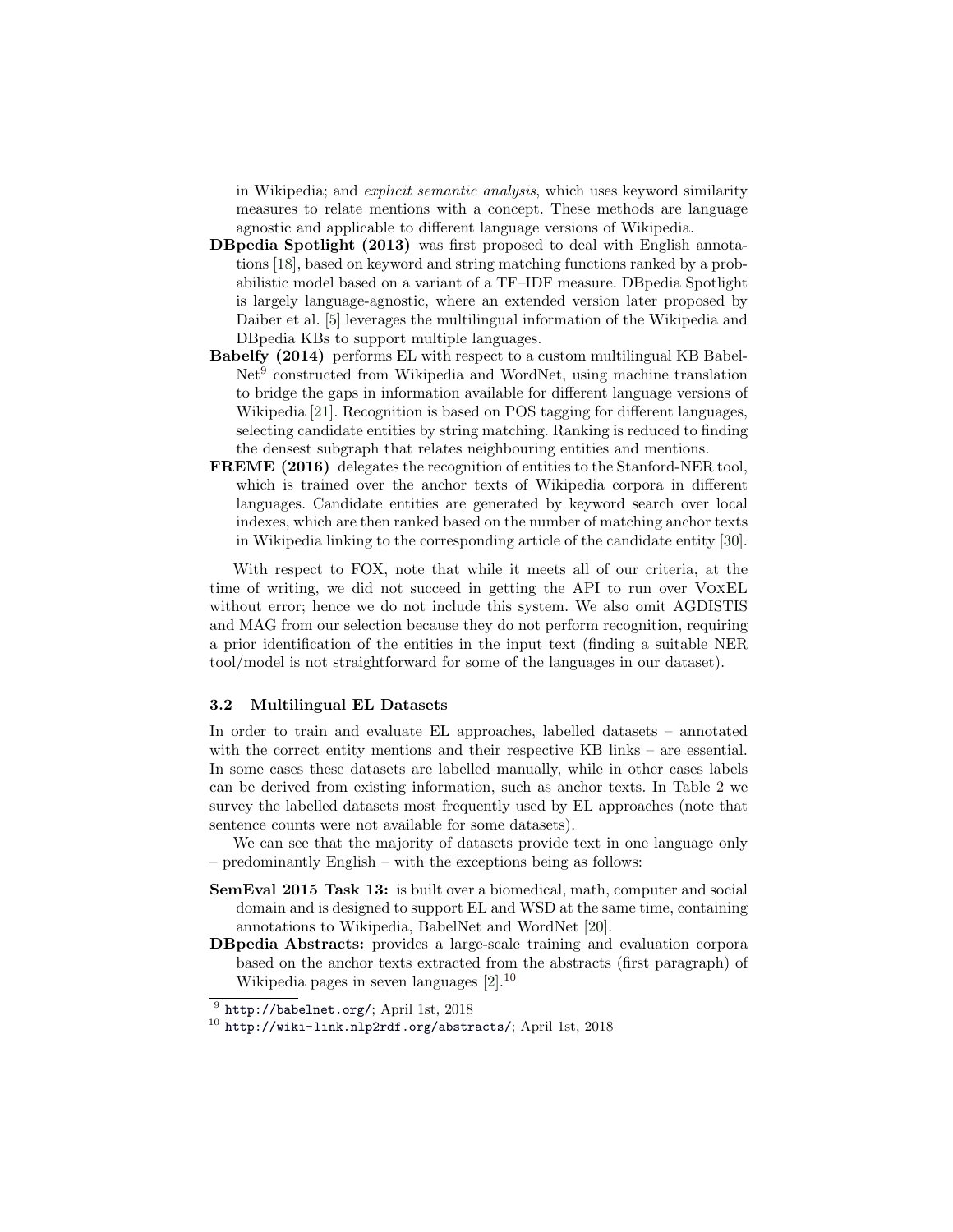in Wikipedia; and *explicit semantic analysis*, which uses keyword similarity measures to relate mentions with a concept. These methods are language agnostic and applicable to different language versions of Wikipedia.

- DBpedia Spotlight (2013) was first proposed to deal with English annotations [\[18\]](#page-15-2), based on keyword and string matching functions ranked by a probabilistic model based on a variant of a TF–IDF measure. DBpedia Spotlight is largely language-agnostic, where an extended version later proposed by Daiber et al. [\[5\]](#page-14-3) leverages the multilingual information of the Wikipedia and DBpedia KBs to support multiple languages.
- Babelfy (2014) performs EL with respect to a custom multilingual KB Babel-Net<sup>[9](#page-5-0)</sup> constructed from Wikipedia and WordNet, using machine translation to bridge the gaps in information available for different language versions of Wikipedia [\[21\]](#page-15-4). Recognition is based on POS tagging for different languages, selecting candidate entities by string matching. Ranking is reduced to finding the densest subgraph that relates neighbouring entities and mentions.
- FREME (2016) delegates the recognition of entities to the Stanford-NER tool, which is trained over the anchor texts of Wikipedia corpora in different languages. Candidate entities are generated by keyword search over local indexes, which are then ranked based on the number of matching anchor texts in Wikipedia linking to the corresponding article of the candidate entity [\[30\]](#page-15-5).

With respect to FOX, note that while it meets all of our criteria, at the time of writing, we did not succeed in getting the API to run over VoxEL without error; hence we do not include this system. We also omit AGDISTIS and MAG from our selection because they do not perform recognition, requiring a prior identification of the entities in the input text (finding a suitable NER tool/model is not straightforward for some of the languages in our dataset).

#### 3.2 Multilingual EL Datasets

In order to train and evaluate EL approaches, labelled datasets – annotated with the correct entity mentions and their respective KB links – are essential. In some cases these datasets are labelled manually, while in other cases labels can be derived from existing information, such as anchor texts. In Table [2](#page-6-0) we survey the labelled datasets most frequently used by EL approaches (note that sentence counts were not available for some datasets).

We can see that the majority of datasets provide text in one language only – predominantly English – with the exceptions being as follows:

- SemEval 2015 Task 13: is built over a biomedical, math, computer and social domain and is designed to support EL and WSD at the same time, containing annotations to Wikipedia, BabelNet and WordNet [\[20\]](#page-15-14).
- DBpedia Abstracts: provides a large-scale training and evaluation corpora based on the anchor texts extracted from the abstracts (first paragraph) of Wikipedia pages in seven languages [\[2\]](#page-14-8).[10](#page-5-1)

<span id="page-5-0"></span> $^9$  <http://babelnet.org/>; April 1st, 2018

<span id="page-5-1"></span><sup>10</sup> <http://wiki-link.nlp2rdf.org/abstracts/>; April 1st, 2018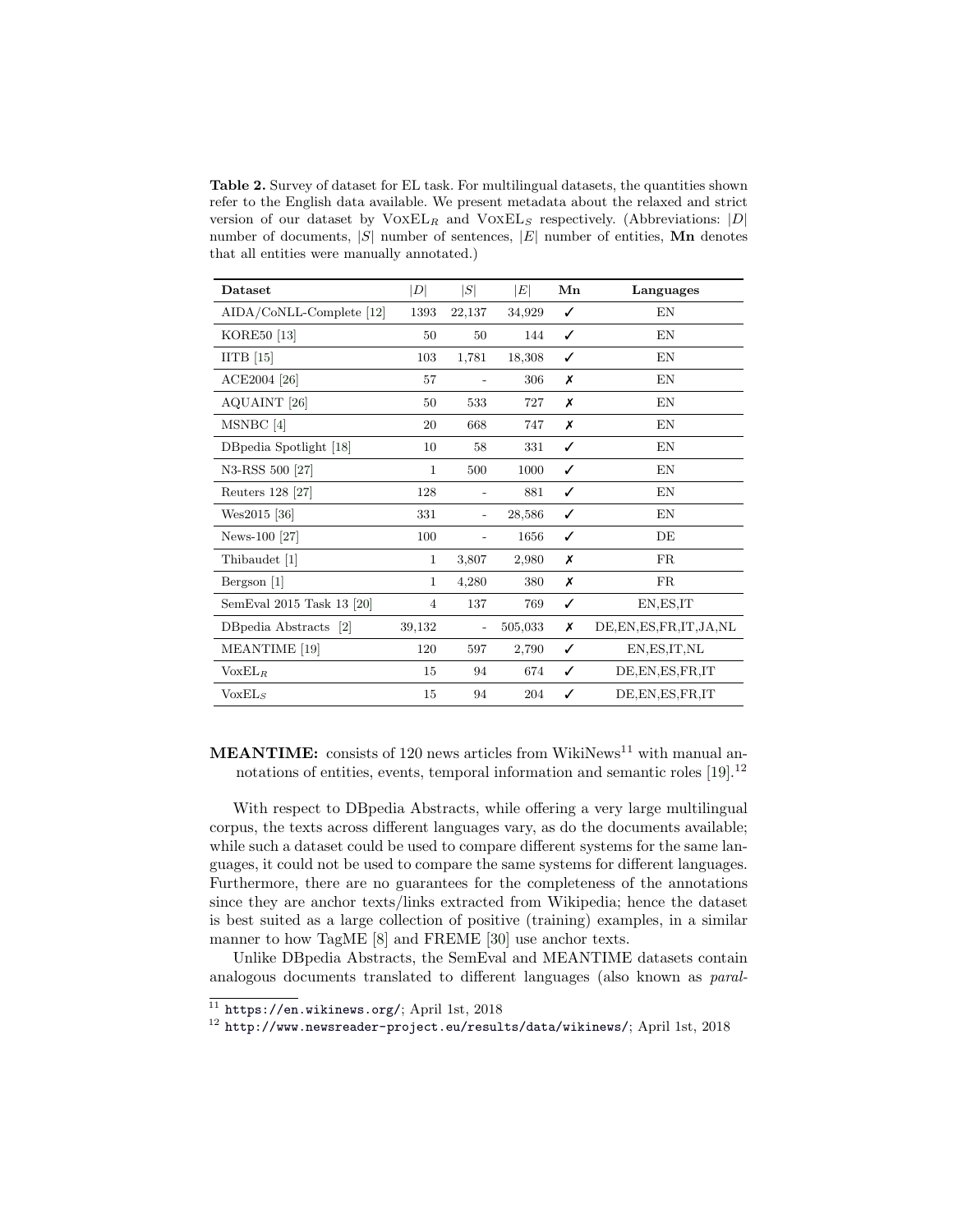<span id="page-6-0"></span>Table 2. Survey of dataset for EL task. For multilingual datasets, the quantities shown refer to the English data available. We present metadata about the relaxed and strict version of our dataset by  $VoxEL_R$  and  $VoxEL_S$  respectively. (Abbreviations: |D| number of documents,  $|S|$  number of sentences,  $|E|$  number of entities, Mn denotes that all entities were manually annotated.)

| Dataset                     | D              | S                        | $E\vert$ | Mn | Languages                  |
|-----------------------------|----------------|--------------------------|----------|----|----------------------------|
| $AIDA/CoNLL$ -Complete [12] | 1393           | 22,137                   | 34,929   | ✓  | EN                         |
| KORE50 [13]                 | 50             | 50                       | 144      | ✓  | EN                         |
| IITB $[15]$                 | 103            | 1,781                    | 18,308   | ✓  | EN                         |
| ACE2004 [26]                | 57             |                          | 306      | Х  | EN                         |
| <b>AQUAINT</b> [26]         | 50             | 533                      | 727      | Х  | EN                         |
| MSNBC [4]                   | 20             | 668                      | 747      | Х  | EN                         |
| DBpedia Spotlight [18]      | 10             | 58                       | 331      | ✓  | EN                         |
| N3-RSS 500 [27]             | $\mathbf{1}$   | 500                      | 1000     | ✓  | EN                         |
| Reuters 128 [27]            | 128            | $\overline{\phantom{0}}$ | 881      | ✓  | EN                         |
| Wes2015 [36]                | 331            | $\overline{\phantom{a}}$ | 28,586   | ✓  | EN                         |
| News-100 [27]               | 100            | $\overline{\phantom{a}}$ | 1656     | ✓  | DE                         |
| Thibaudet [1]               | $\mathbf{1}$   | 3,807                    | 2,980    | Х  | FR                         |
| Bergson $[1]$               | $\mathbf{1}$   | 4,280                    | 380      | Х  | FR.                        |
| SemEval 2015 Task 13 [20]   | $\overline{4}$ | 137                      | 769      | ✓  | EN, ES, IT                 |
| DB pedia Abstracts [2]      | 39,132         | $\overline{\phantom{a}}$ | 505,033  | Х  | DE, EN, ES, FR, IT, JA, NL |
| <b>MEANTIME</b> [19]        | 120            | 597                      | 2,790    | ✓  | EN, ES, IT, NL             |
| $V_{\rm OXELB}$             | 15             | 94                       | 674      | ✓  | DE, EN, ES, FR, IT         |
| $V_0xEL_s$                  | 15             | 94                       | 204      | ✓  | DE.EN.ES.FR.IT             |

**MEANTIME:** consists of 120 news articles from WikiNews<sup>[11](#page-6-1)</sup> with manual annotations of entities, events, temporal information and semantic roles [\[19\]](#page-15-19).[12](#page-6-2)

With respect to DBpedia Abstracts, while offering a very large multilingual corpus, the texts across different languages vary, as do the documents available; while such a dataset could be used to compare different systems for the same languages, it could not be used to compare the same systems for different languages. Furthermore, there are no guarantees for the completeness of the annotations since they are anchor texts/links extracted from Wikipedia; hence the dataset is best suited as a large collection of positive (training) examples, in a similar manner to how TagME [\[8\]](#page-14-4) and FREME [\[30\]](#page-15-5) use anchor texts.

Unlike DBpedia Abstracts, the SemEval and MEANTIME datasets contain analogous documents translated to different languages (also known as paral-

<span id="page-6-1"></span> $\frac{11}{11}$  <https://en.wikinews.org/>; April 1st, 2018

<span id="page-6-2"></span><sup>12</sup> <http://www.newsreader-project.eu/results/data/wikinews/>; April 1st, 2018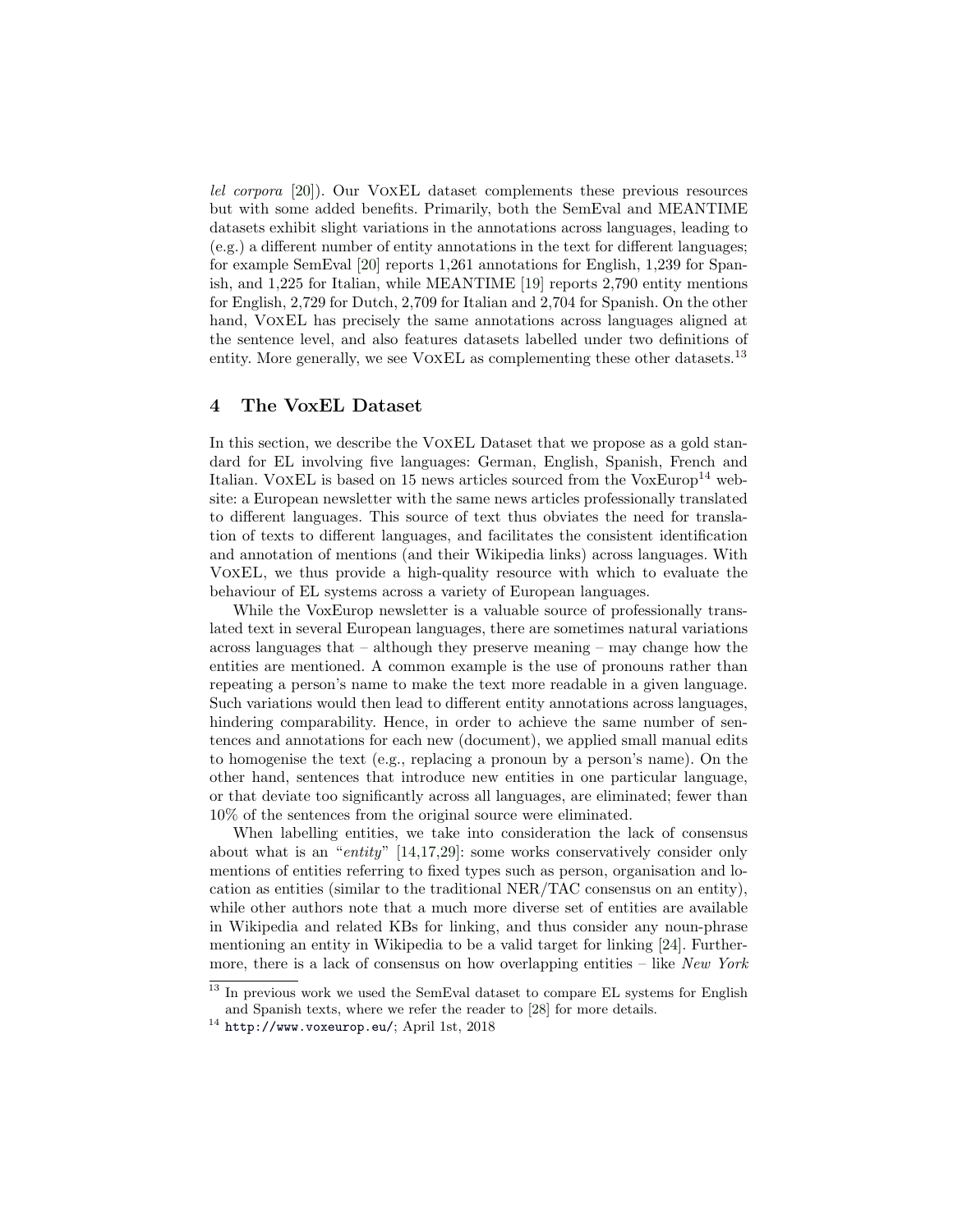lel corpora [\[20\]](#page-15-14)). Our VoxEL dataset complements these previous resources but with some added benefits. Primarily, both the SemEval and MEANTIME datasets exhibit slight variations in the annotations across languages, leading to (e.g.) a different number of entity annotations in the text for different languages; for example SemEval [\[20\]](#page-15-14) reports 1,261 annotations for English, 1,239 for Spanish, and 1,225 for Italian, while MEANTIME [\[19\]](#page-15-19) reports 2,790 entity mentions for English, 2,729 for Dutch, 2,709 for Italian and 2,704 for Spanish. On the other hand, VoxEL has precisely the same annotations across languages aligned at the sentence level, and also features datasets labelled under two definitions of entity. More generally, we see VOXEL as complementing these other datasets.<sup>[13](#page-7-0)</sup>

## 4 The VoxEL Dataset

In this section, we describe the VoxEL Dataset that we propose as a gold standard for EL involving five languages: German, English, Spanish, French and Italian. VOXEL is based on 15 news articles sourced from the  $VoxEuro<sup>14</sup>$  $VoxEuro<sup>14</sup>$  $VoxEuro<sup>14</sup>$  website: a European newsletter with the same news articles professionally translated to different languages. This source of text thus obviates the need for translation of texts to different languages, and facilitates the consistent identification and annotation of mentions (and their Wikipedia links) across languages. With VoxEL, we thus provide a high-quality resource with which to evaluate the behaviour of EL systems across a variety of European languages.

While the VoxEurop newsletter is a valuable source of professionally translated text in several European languages, there are sometimes natural variations across languages that – although they preserve meaning – may change how the entities are mentioned. A common example is the use of pronouns rather than repeating a person's name to make the text more readable in a given language. Such variations would then lead to different entity annotations across languages, hindering comparability. Hence, in order to achieve the same number of sentences and annotations for each new (document), we applied small manual edits to homogenise the text (e.g., replacing a pronoun by a person's name). On the other hand, sentences that introduce new entities in one particular language, or that deviate too significantly across all languages, are eliminated; fewer than 10% of the sentences from the original source were eliminated.

When labelling entities, we take into consideration the lack of consensus about what is an "entity" [\[14](#page-15-20)[,17](#page-15-21)[,29\]](#page-15-22): some works conservatively consider only mentions of entities referring to fixed types such as person, organisation and location as entities (similar to the traditional NER/TAC consensus on an entity), while other authors note that a much more diverse set of entities are available in Wikipedia and related KBs for linking, and thus consider any noun-phrase mentioning an entity in Wikipedia to be a valid target for linking [\[24\]](#page-15-23). Furthermore, there is a lack of consensus on how overlapping entities – like New York

<span id="page-7-0"></span><sup>&</sup>lt;sup>13</sup> In previous work we used the SemEval dataset to compare EL systems for English and Spanish texts, where we refer the reader to [\[28\]](#page-15-6) for more details.

<span id="page-7-1"></span> $14$  <http://www.voxeurop.eu/>; April 1st, 2018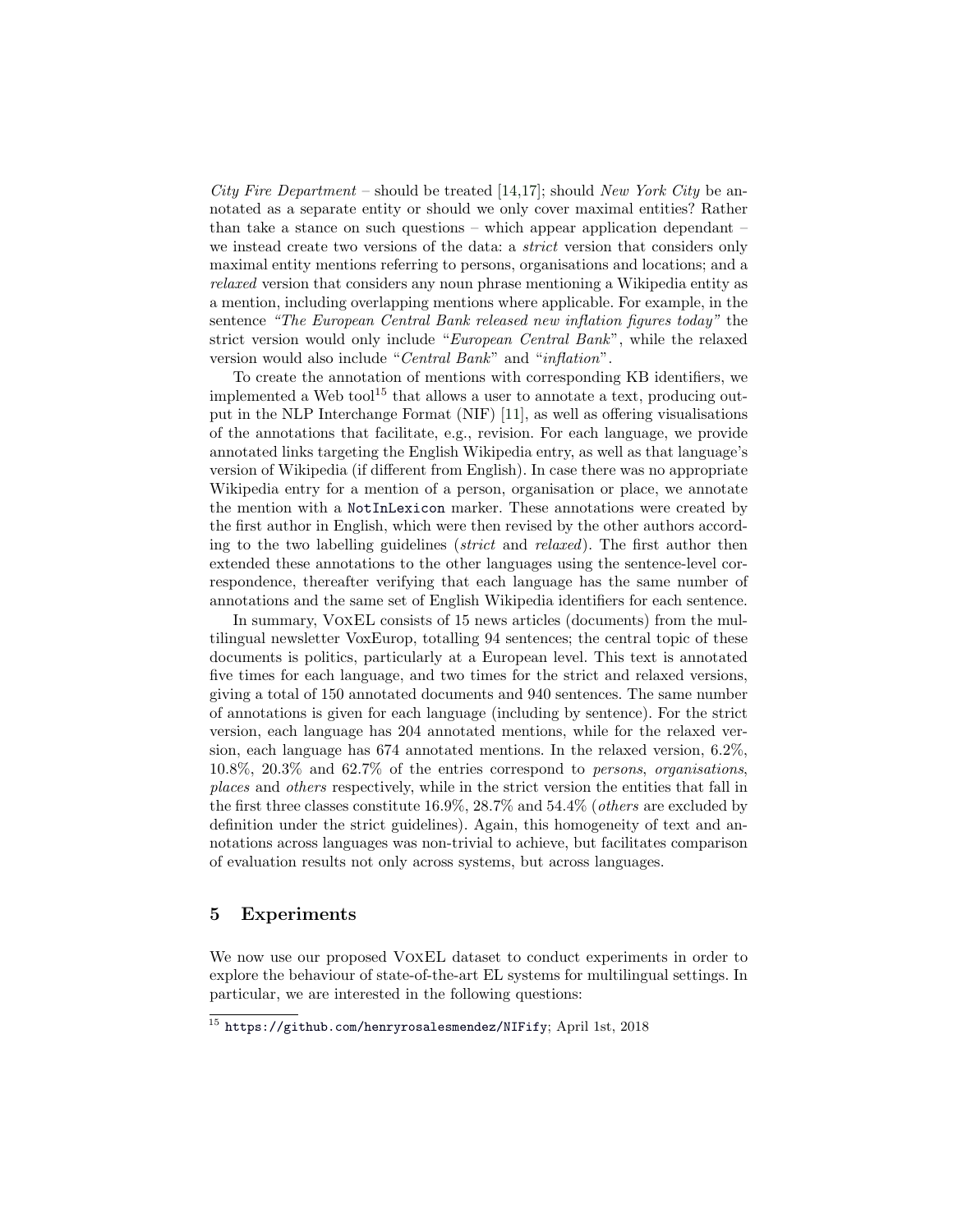City Fire Department – should be treated [\[14](#page-15-20)[,17\]](#page-15-21); should New York City be annotated as a separate entity or should we only cover maximal entities? Rather than take a stance on such questions – which appear application dependant – we instead create two versions of the data: a strict version that considers only maximal entity mentions referring to persons, organisations and locations; and a relaxed version that considers any noun phrase mentioning a Wikipedia entity as a mention, including overlapping mentions where applicable. For example, in the sentence "The European Central Bank released new inflation figures today" the strict version would only include "European Central Bank", while the relaxed version would also include "Central Bank" and "inflation".

To create the annotation of mentions with corresponding KB identifiers, we implemented a Web  $\text{tool}^{15}$  $\text{tool}^{15}$  $\text{tool}^{15}$  that allows a user to annotate a text, producing output in the NLP Interchange Format (NIF) [\[11\]](#page-14-11), as well as offering visualisations of the annotations that facilitate, e.g., revision. For each language, we provide annotated links targeting the English Wikipedia entry, as well as that language's version of Wikipedia (if different from English). In case there was no appropriate Wikipedia entry for a mention of a person, organisation or place, we annotate the mention with a <NotInLexicon> marker. These annotations were created by the first author in English, which were then revised by the other authors according to the two labelling guidelines (strict and relaxed). The first author then extended these annotations to the other languages using the sentence-level correspondence, thereafter verifying that each language has the same number of annotations and the same set of English Wikipedia identifiers for each sentence.

In summary, VoxEL consists of 15 news articles (documents) from the multilingual newsletter VoxEurop, totalling 94 sentences; the central topic of these documents is politics, particularly at a European level. This text is annotated five times for each language, and two times for the strict and relaxed versions, giving a total of 150 annotated documents and 940 sentences. The same number of annotations is given for each language (including by sentence). For the strict version, each language has 204 annotated mentions, while for the relaxed version, each language has 674 annotated mentions. In the relaxed version, 6.2%, 10.8%, 20.3% and 62.7% of the entries correspond to persons, organisations, places and others respectively, while in the strict version the entities that fall in the first three classes constitute 16.9%, 28.7% and 54.4% (others are excluded by definition under the strict guidelines). Again, this homogeneity of text and annotations across languages was non-trivial to achieve, but facilitates comparison of evaluation results not only across systems, but across languages.

## 5 Experiments

We now use our proposed VoxEL dataset to conduct experiments in order to explore the behaviour of state-of-the-art EL systems for multilingual settings. In particular, we are interested in the following questions:

<span id="page-8-0"></span> $\frac{15}{15}$ <https://github.com/henryrosalesmendez/NIFify>; April 1st, 2018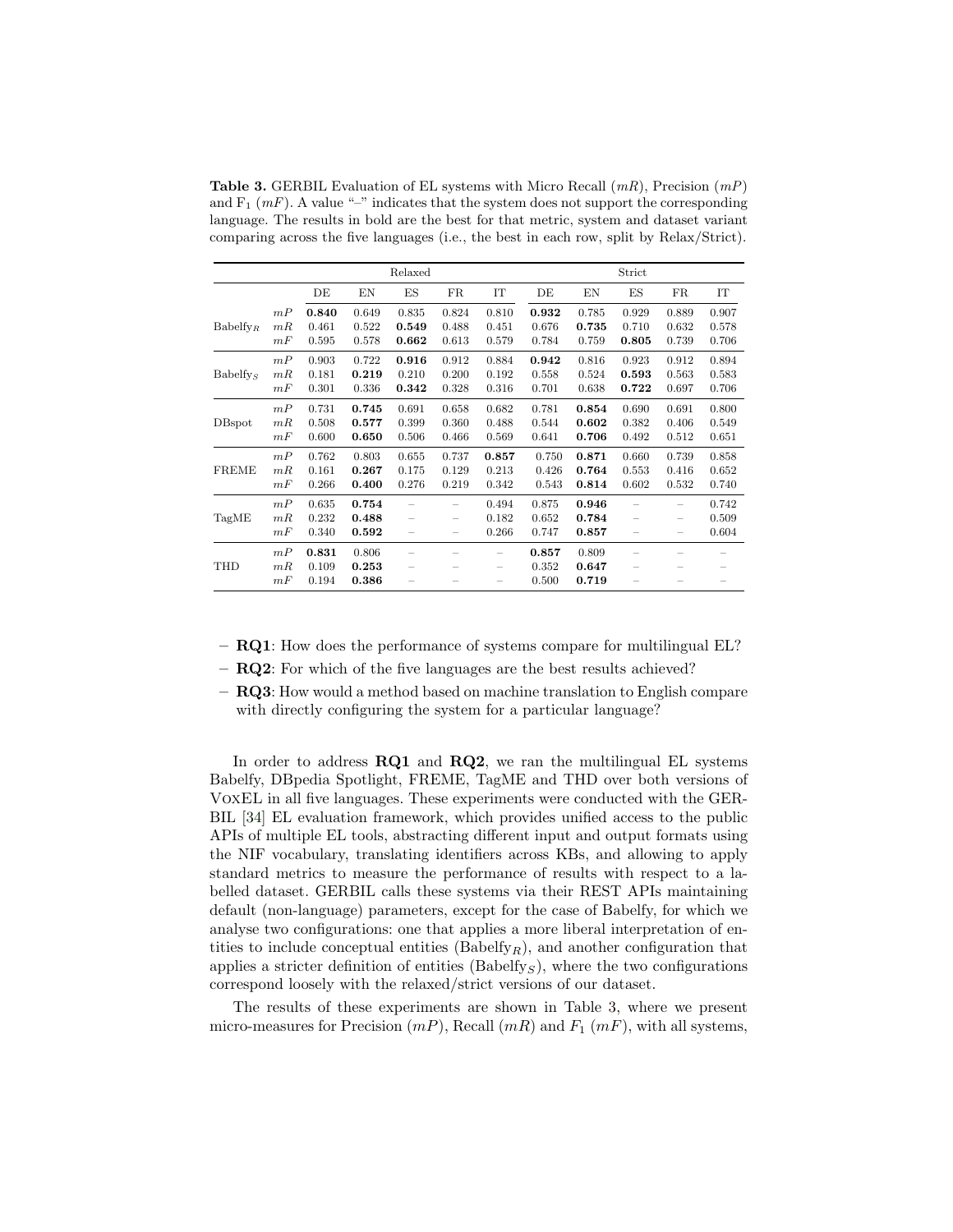<span id="page-9-0"></span>**Table 3.** GERBIL Evaluation of EL systems with Micro Recall  $(mR)$ , Precision  $(mP)$ and  $F_1$  ( $mF$ ). A value "-" indicates that the system does not support the corresponding language. The results in bold are the best for that metric, system and dataset variant comparing across the five languages (i.e., the best in each row, split by Relax/Strict).

|                |    | Relaxed |       |       |       | Strict |       |       |       |       |       |
|----------------|----|---------|-------|-------|-------|--------|-------|-------|-------|-------|-------|
|                |    | DE      | EN    | ES    | FR    | IT     | DE    | EN    | ES    | FR    | IT    |
|                | mP | 0.840   | 0.649 | 0.835 | 0.824 | 0.810  | 0.932 | 0.785 | 0.929 | 0.889 | 0.907 |
| $Babelfv_R$    | mR | 0.461   | 0.522 | 0.549 | 0.488 | 0.451  | 0.676 | 0.735 | 0.710 | 0.632 | 0.578 |
|                | mF | 0.595   | 0.578 | 0.662 | 0.613 | 0.579  | 0.784 | 0.759 | 0.805 | 0.739 | 0.706 |
|                | mP | 0.903   | 0.722 | 0.916 | 0.912 | 0.884  | 0.942 | 0.816 | 0.923 | 0.912 | 0.894 |
| $Babelfy_S$    | mR | 0.181   | 0.219 | 0.210 | 0.200 | 0.192  | 0.558 | 0.524 | 0.593 | 0.563 | 0.583 |
|                | mF | 0.301   | 0.336 | 0.342 | 0.328 | 0.316  | 0.701 | 0.638 | 0.722 | 0.697 | 0.706 |
|                | mP | 0.731   | 0.745 | 0.691 | 0.658 | 0.682  | 0.781 | 0.854 | 0.690 | 0.691 | 0.800 |
| <b>D</b> Bspot | mR | 0.508   | 0.577 | 0.399 | 0.360 | 0.488  | 0.544 | 0.602 | 0.382 | 0.406 | 0.549 |
|                | mF | 0.600   | 0.650 | 0.506 | 0.466 | 0.569  | 0.641 | 0.706 | 0.492 | 0.512 | 0.651 |
|                | mP | 0.762   | 0.803 | 0.655 | 0.737 | 0.857  | 0.750 | 0.871 | 0.660 | 0.739 | 0.858 |
| <b>FREME</b>   | mR | 0.161   | 0.267 | 0.175 | 0.129 | 0.213  | 0.426 | 0.764 | 0.553 | 0.416 | 0.652 |
|                | mF | 0.266   | 0.400 | 0.276 | 0.219 | 0.342  | 0.543 | 0.814 | 0.602 | 0.532 | 0.740 |
|                | mP | 0.635   | 0.754 |       |       | 0.494  | 0.875 | 0.946 |       |       | 0.742 |
| TagME          | mR | 0.232   | 0.488 | -     | -     | 0.182  | 0.652 | 0.784 |       | -     | 0.509 |
|                | mF | 0.340   | 0.592 | -     | -     | 0.266  | 0.747 | 0.857 |       |       | 0.604 |
|                | mP | 0.831   | 0.806 |       |       |        | 0.857 | 0.809 |       |       |       |
| THD            | mR | 0.109   | 0.253 | -     |       | -      | 0.352 | 0.647 |       |       |       |
|                | mF | 0.194   | 0.386 |       |       |        | 0.500 | 0.719 |       |       |       |

- RQ1: How does the performance of systems compare for multilingual EL?
- RQ2: For which of the five languages are the best results achieved?
- $-$  RQ3: How would a method based on machine translation to English compare with directly configuring the system for a particular language?

In order to address RQ1 and RQ2, we ran the multilingual EL systems Babelfy, DBpedia Spotlight, FREME, TagME and THD over both versions of VoxEL in all five languages. These experiments were conducted with the GER-BIL [\[34\]](#page-15-7) EL evaluation framework, which provides unified access to the public APIs of multiple EL tools, abstracting different input and output formats using the NIF vocabulary, translating identifiers across KBs, and allowing to apply standard metrics to measure the performance of results with respect to a labelled dataset. GERBIL calls these systems via their REST APIs maintaining default (non-language) parameters, except for the case of Babelfy, for which we analyse two configurations: one that applies a more liberal interpretation of entities to include conceptual entities  $(Babelfy_R)$ , and another configuration that applies a stricter definition of entities  $(Babelfy<sub>S</sub>)$ , where the two configurations correspond loosely with the relaxed/strict versions of our dataset.

The results of these experiments are shown in Table [3,](#page-9-0) where we present micro-measures for Precision  $(mP)$ , Recall  $(mR)$  and  $F_1$   $(mF)$ , with all systems,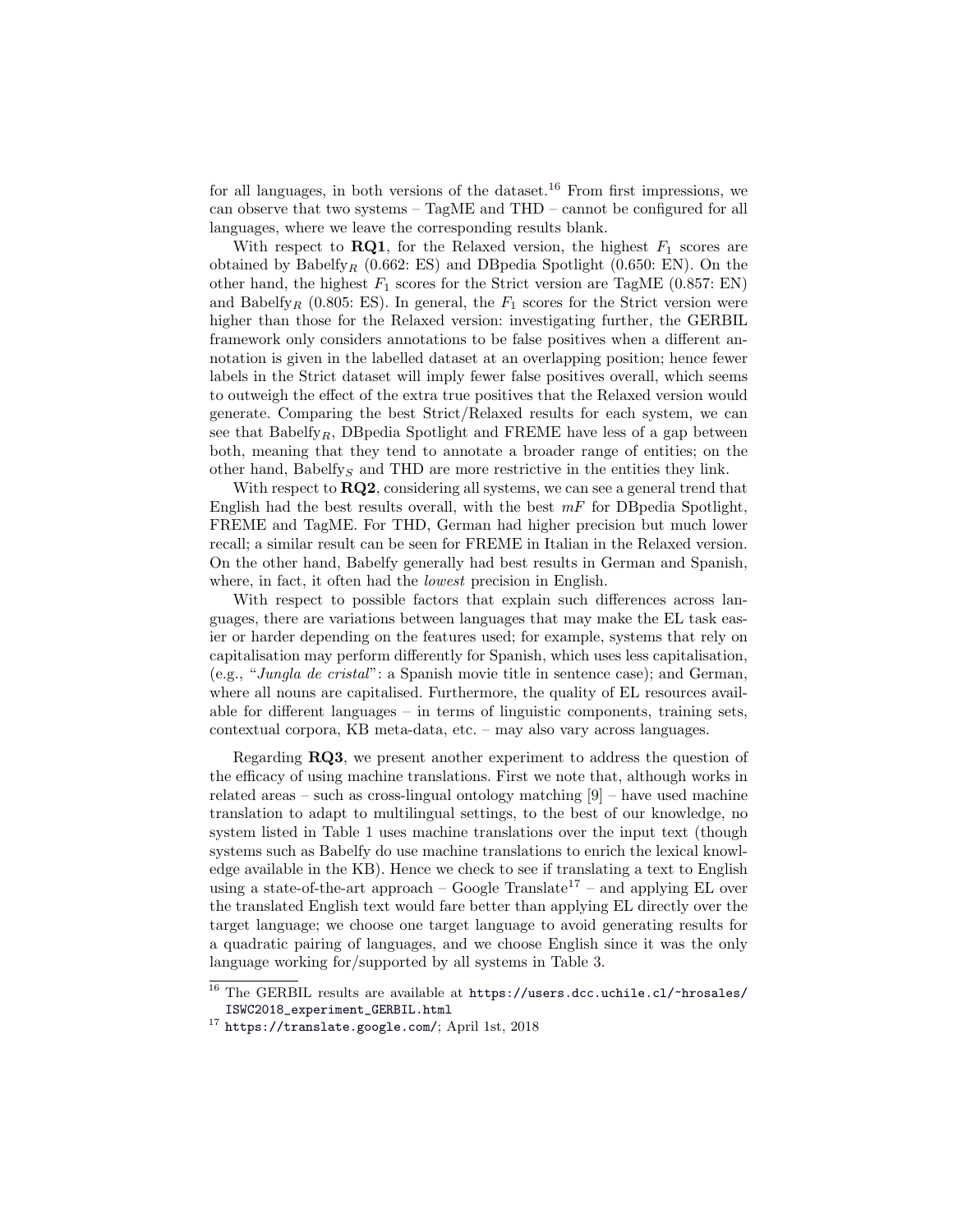for all languages, in both versions of the dataset.<sup>[16](#page-10-0)</sup> From first impressions, we can observe that two systems – TagME and THD – cannot be configured for all languages, where we leave the corresponding results blank.

With respect to **RQ1**, for the Relaxed version, the highest  $F_1$  scores are obtained by Babelfy<sub>R</sub> (0.662: ES) and DBpedia Spotlight (0.650: EN). On the other hand, the highest  $F_1$  scores for the Strict version are TagME (0.857: EN) and Babelfy<sub>R</sub> (0.805: ES). In general, the  $F_1$  scores for the Strict version were higher than those for the Relaxed version: investigating further, the GERBIL framework only considers annotations to be false positives when a different annotation is given in the labelled dataset at an overlapping position; hence fewer labels in the Strict dataset will imply fewer false positives overall, which seems to outweigh the effect of the extra true positives that the Relaxed version would generate. Comparing the best Strict/Relaxed results for each system, we can see that  $Babelfy_R$ , DB pedia Spotlight and FREME have less of a gap between both, meaning that they tend to annotate a broader range of entities; on the other hand, Babelfy<sub>S</sub> and THD are more restrictive in the entities they link.

With respect to  $\mathbf{R}Q2$ , considering all systems, we can see a general trend that English had the best results overall, with the best  $mF$  for DB pedia Spotlight, FREME and TagME. For THD, German had higher precision but much lower recall; a similar result can be seen for FREME in Italian in the Relaxed version. On the other hand, Babelfy generally had best results in German and Spanish, where, in fact, it often had the *lowest* precision in English.

With respect to possible factors that explain such differences across languages, there are variations between languages that may make the EL task easier or harder depending on the features used; for example, systems that rely on capitalisation may perform differently for Spanish, which uses less capitalisation, (e.g., "Jungla de cristal": a Spanish movie title in sentence case); and German, where all nouns are capitalised. Furthermore, the quality of EL resources available for different languages – in terms of linguistic components, training sets, contextual corpora, KB meta-data, etc. – may also vary across languages.

Regarding RQ3, we present another experiment to address the question of the efficacy of using machine translations. First we note that, although works in related areas – such as cross-lingual ontology matching [\[9\]](#page-14-12) – have used machine translation to adapt to multilingual settings, to the best of our knowledge, no system listed in Table [1](#page-4-0) uses machine translations over the input text (though systems such as Babelfy do use machine translations to enrich the lexical knowledge available in the KB). Hence we check to see if translating a text to English using a state-of-the-art approach – Google Translate<sup>[17](#page-10-1)</sup> – and applying EL over the translated English text would fare better than applying EL directly over the target language; we choose one target language to avoid generating results for a quadratic pairing of languages, and we choose English since it was the only language working for/supported by all systems in Table [3.](#page-9-0)

<span id="page-10-0"></span> $^{16}$  The GERBIL results are available at  $\overline{\text{https://users.dcc.uchile.cl/~hrosales/}}$  $\overline{\text{https://users.dcc.uchile.cl/~hrosales/}}$  $\overline{\text{https://users.dcc.uchile.cl/~hrosales/}}$ [ISWC2018\\_experiment\\_GERBIL.html](https://users.dcc.uchile.cl/~hrosales/ISWC2018_experiment_GERBIL.html)

<span id="page-10-1"></span><sup>17</sup> <https://translate.google.com/>; April 1st, 2018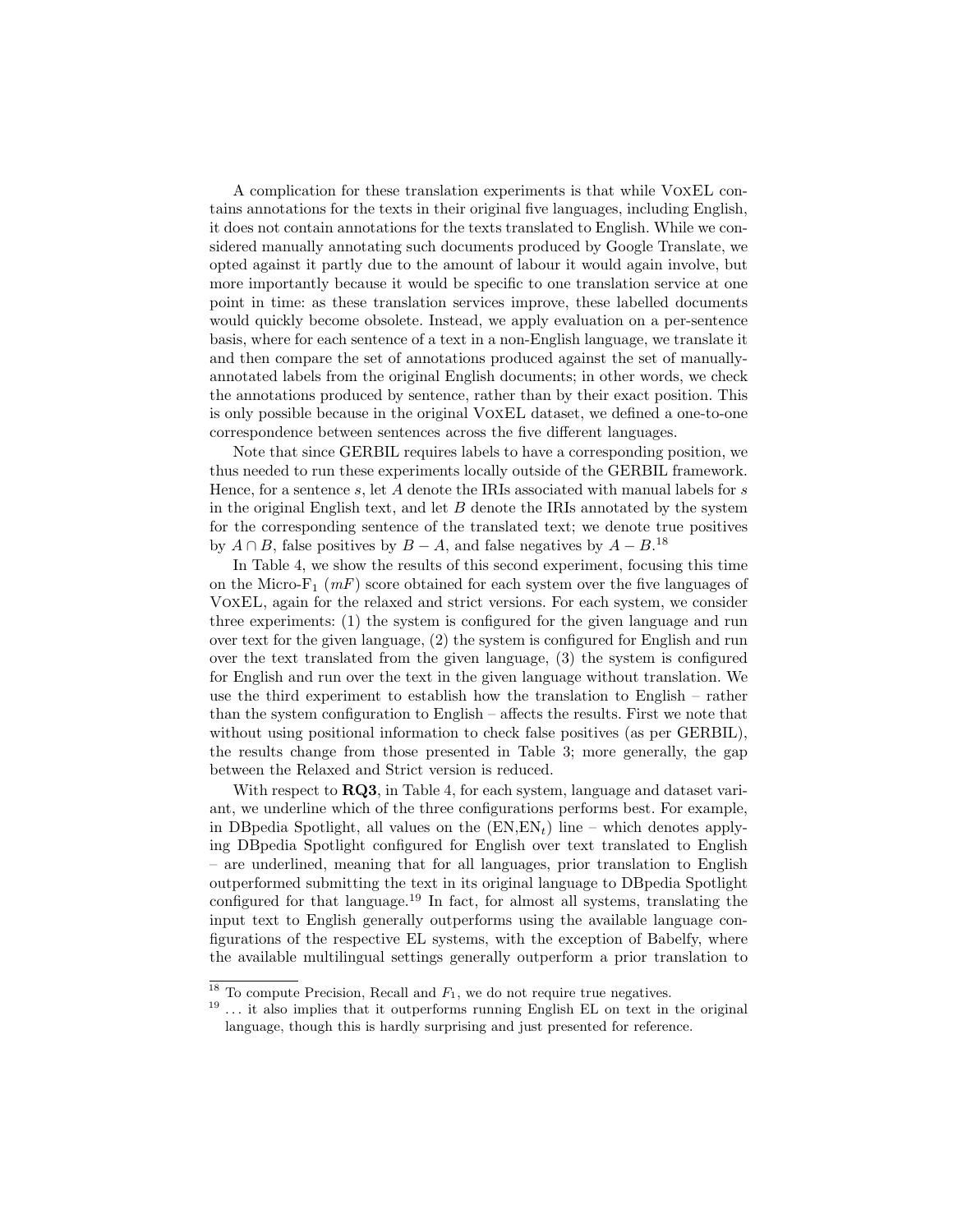A complication for these translation experiments is that while VoxEL contains annotations for the texts in their original five languages, including English, it does not contain annotations for the texts translated to English. While we considered manually annotating such documents produced by Google Translate, we opted against it partly due to the amount of labour it would again involve, but more importantly because it would be specific to one translation service at one point in time: as these translation services improve, these labelled documents would quickly become obsolete. Instead, we apply evaluation on a per-sentence basis, where for each sentence of a text in a non-English language, we translate it and then compare the set of annotations produced against the set of manuallyannotated labels from the original English documents; in other words, we check the annotations produced by sentence, rather than by their exact position. This is only possible because in the original VoxEL dataset, we defined a one-to-one correspondence between sentences across the five different languages.

Note that since GERBIL requires labels to have a corresponding position, we thus needed to run these experiments locally outside of the GERBIL framework. Hence, for a sentence  $s$ , let  $A$  denote the IRIs associated with manual labels for  $s$ in the original English text, and let  $B$  denote the IRIs annotated by the system for the corresponding sentence of the translated text; we denote true positives by  $A \cap B$ , false positives by  $B - A$ , and false negatives by  $A - B$ .<sup>[18](#page-11-0)</sup>

In Table [4,](#page-12-0) we show the results of this second experiment, focusing this time on the Micro- $F_1$  ( $mF$ ) score obtained for each system over the five languages of VoxEL, again for the relaxed and strict versions. For each system, we consider three experiments: (1) the system is configured for the given language and run over text for the given language, (2) the system is configured for English and run over the text translated from the given language, (3) the system is configured for English and run over the text in the given language without translation. We use the third experiment to establish how the translation to English – rather than the system configuration to English – affects the results. First we note that without using positional information to check false positives (as per GERBIL), the results change from those presented in Table [3;](#page-9-0) more generally, the gap between the Relaxed and Strict version is reduced.

With respect to  $\mathbf{R}\mathbf{Q3}$ , in Table [4,](#page-12-0) for each system, language and dataset variant, we underline which of the three configurations performs best. For example, in DB pedia Spotlight, all values on the  $(EN, EN<sub>t</sub>)$  line – which denotes applying DBpedia Spotlight configured for English over text translated to English – are underlined, meaning that for all languages, prior translation to English outperformed submitting the text in its original language to DBpedia Spotlight configured for that language.<sup>[19](#page-11-1)</sup> In fact, for almost all systems, translating the input text to English generally outperforms using the available language configurations of the respective EL systems, with the exception of Babelfy, where the available multilingual settings generally outperform a prior translation to

<span id="page-11-0"></span> $18$  To compute Precision, Recall and  $F_1$ , we do not require true negatives.

<span id="page-11-1"></span> $19$ ... it also implies that it outperforms running English EL on text in the original language, though this is hardly surprising and just presented for reference.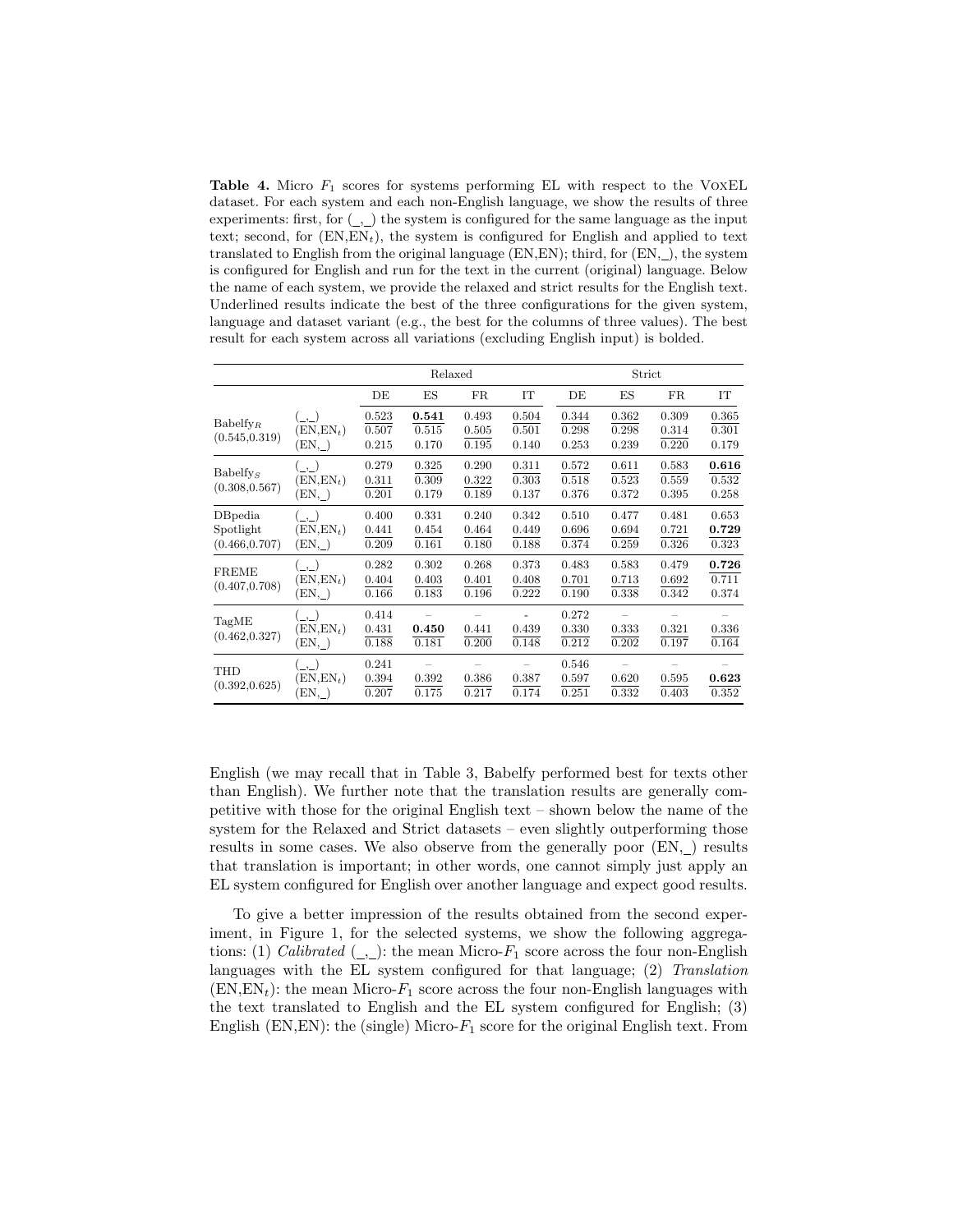<span id="page-12-0"></span>**Table 4.** Micro  $F_1$  scores for systems performing EL with respect to the VOXEL dataset. For each system and each non-English language, we show the results of three experiments: first, for  $(\_)$  the system is configured for the same language as the input text; second, for  $(EN, EN_t)$ , the system is configured for English and applied to text translated to English from the original language  $(EN, EN)$ ; third, for  $(EN, )$ , the system is configured for English and run for the text in the current (original) language. Below the name of each system, we provide the relaxed and strict results for the English text. Underlined results indicate the best of the three configurations for the given system, language and dataset variant (e.g., the best for the columns of three values). The best result for each system across all variations (excluding English input) is bolded.

|                                        |                                                                                 | Relaxed                 |                         |                         |                         | Strict                  |                         |                         |                         |  |
|----------------------------------------|---------------------------------------------------------------------------------|-------------------------|-------------------------|-------------------------|-------------------------|-------------------------|-------------------------|-------------------------|-------------------------|--|
|                                        |                                                                                 | DE                      | ES                      | FR                      | IT                      | DE                      | ES                      | FR                      | IT                      |  |
| $Babelfy_R$<br>(0.545, 0.319)          | $\left( \begin{matrix} -1 \\ -1 \end{matrix} \right)$<br>$(EN, EN_t)$<br>(EN, ) | 0.523<br>0.507<br>0.215 | 0.541<br>0.515<br>0.170 | 0.493<br>0.505<br>0.195 | 0.504<br>0.501<br>0.140 | 0.344<br>0.298<br>0.253 | 0.362<br>0.298<br>0.239 | 0.309<br>0.314<br>0.220 | 0.365<br>0.301<br>0.179 |  |
| $Babelfy_S$<br>(0.308, 0.567)          | $(\quad , \quad )$<br>$(EN, EN_t)$<br>(EN, )                                    | 0.279<br>0.311<br>0.201 | 0.325<br>0.309<br>0.179 | 0.290<br>0.322<br>0.189 | 0.311<br>0.303<br>0.137 | 0.572<br>0.518<br>0.376 | 0.611<br>0.523<br>0.372 | 0.583<br>0.559<br>0.395 | 0.616<br>0.532<br>0.258 |  |
| DBpedia<br>Spotlight<br>(0.466, 0.707) | $(EN, EN_t)$<br>(EN, )                                                          | 0.400<br>0.441<br>0.209 | 0.331<br>0.454<br>0.161 | 0.240<br>0.464<br>0.180 | 0.342<br>0.449<br>0.188 | 0.510<br>0.696<br>0.374 | 0.477<br>0.694<br>0.259 | 0.481<br>0.721<br>0.326 | 0.653<br>0.729<br>0.323 |  |
| <b>FREME</b><br>(0.407, 0.708)         | $(EN, EN_t)$<br>(EN, )                                                          | 0.282<br>0.404<br>0.166 | 0.302<br>0.403<br>0.183 | 0.268<br>0.401<br>0.196 | 0.373<br>0.408<br>0.222 | 0.483<br>0.701<br>0.190 | 0.583<br>0.713<br>0.338 | 0.479<br>0.692<br>0.342 | 0.726<br>0.711<br>0.374 |  |
| TagME<br>(0.462, 0.327)                | $(EN, EN_t)$<br>(EN, )                                                          | 0.414<br>0.431<br>0.188 | 0.450<br>0.181          | 0.441<br>0.200          | 0.439<br>0.148          | 0.272<br>0.330<br>0.212 | 0.333<br>0.202          | 0.321<br>0.197          | 0.336<br>0.164          |  |
| <b>THD</b><br>(0.392, 0.625)           | $\langle \; , \; \rangle$<br>$(EN, EN_t)$<br>(EN, )                             | 0.241<br>0.394<br>0.207 | 0.392<br>0.175          | 0.386<br>0.217          | 0.387<br>0.174          | 0.546<br>0.597<br>0.251 | 0.620<br>0.332          | 0.595<br>0.403          | 0.623<br>0.352          |  |

English (we may recall that in Table [3,](#page-9-0) Babelfy performed best for texts other than English). We further note that the translation results are generally competitive with those for the original English text – shown below the name of the system for the Relaxed and Strict datasets – even slightly outperforming those results in some cases. We also observe from the generally poor  $(EN, )$  results that translation is important; in other words, one cannot simply just apply an EL system configured for English over another language and expect good results.

To give a better impression of the results obtained from the second experiment, in Figure [1,](#page-13-0) for the selected systems, we show the following aggregations: (1) Calibrated  $(\_,\_)$ : the mean Micro- $F_1$  score across the four non-English languages with the EL system configured for that language; (2) Translation  $(EN, EN<sub>t</sub>)$ : the mean Micro- $F<sub>1</sub>$  score across the four non-English languages with the text translated to English and the EL system configured for English; (3) English (EN,EN): the (single) Micro- $F_1$  score for the original English text. From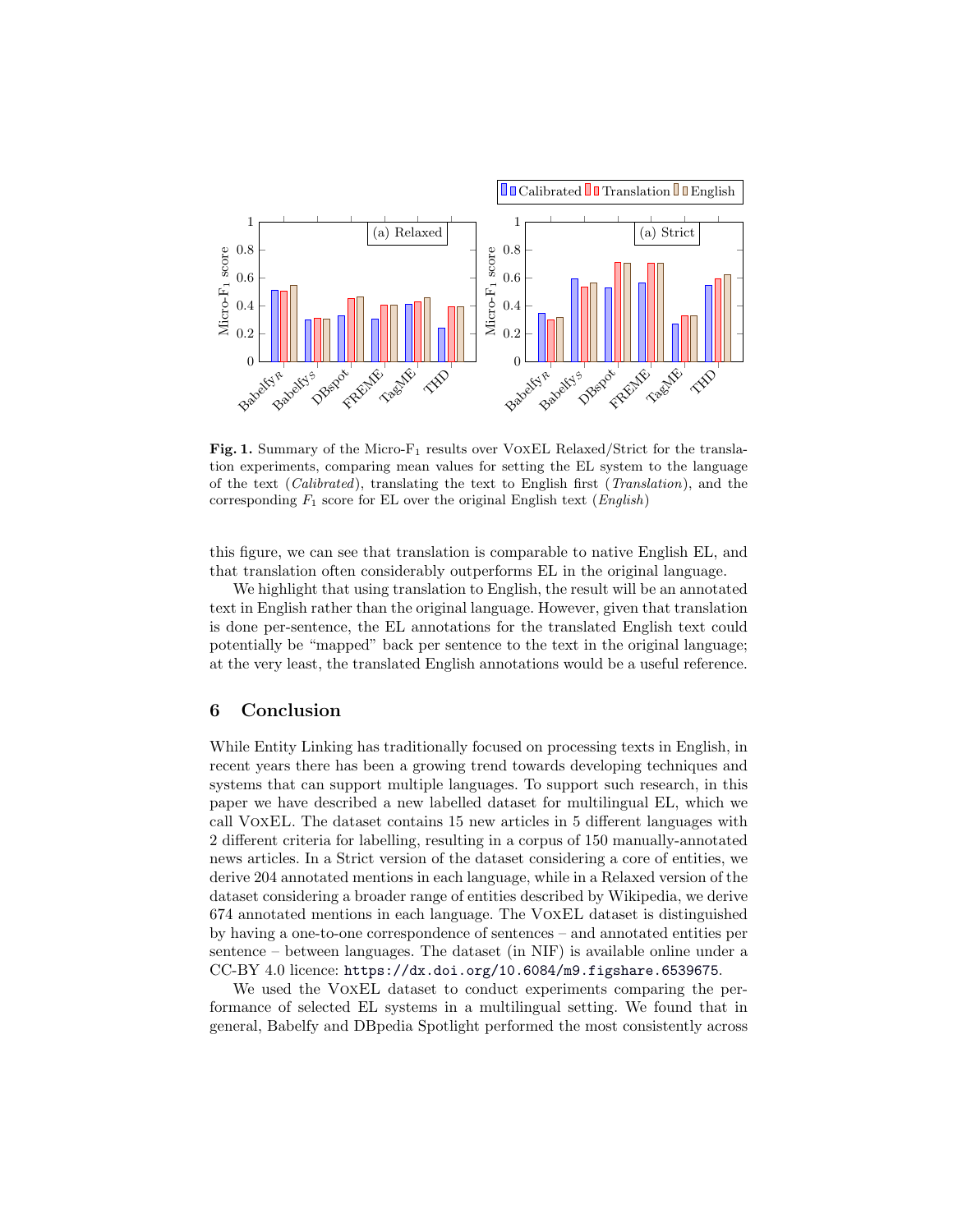

<span id="page-13-0"></span>Fig. 1. Summary of the Micro-F<sub>1</sub> results over VOXEL Relaxed/Strict for the translation experiments, comparing mean values for setting the EL system to the language of the text (*Calibrated*), translating the text to English first (*Translation*), and the corresponding  $F_1$  score for EL over the original English text (*English*)

this figure, we can see that translation is comparable to native English EL, and that translation often considerably outperforms EL in the original language.

We highlight that using translation to English, the result will be an annotated text in English rather than the original language. However, given that translation is done per-sentence, the EL annotations for the translated English text could potentially be "mapped" back per sentence to the text in the original language; at the very least, the translated English annotations would be a useful reference.

## 6 Conclusion

While Entity Linking has traditionally focused on processing texts in English, in recent years there has been a growing trend towards developing techniques and systems that can support multiple languages. To support such research, in this paper we have described a new labelled dataset for multilingual EL, which we call VoxEL. The dataset contains 15 new articles in 5 different languages with 2 different criteria for labelling, resulting in a corpus of 150 manually-annotated news articles. In a Strict version of the dataset considering a core of entities, we derive 204 annotated mentions in each language, while in a Relaxed version of the dataset considering a broader range of entities described by Wikipedia, we derive 674 annotated mentions in each language. The VoxEL dataset is distinguished by having a one-to-one correspondence of sentences – and annotated entities per sentence – between languages. The dataset (in NIF) is available online under a  $CC-BY$  4.0 licence: <https://dx.doi.org/10.6084/m9.figshare.6539675>.

We used the VoxEL dataset to conduct experiments comparing the performance of selected EL systems in a multilingual setting. We found that in general, Babelfy and DBpedia Spotlight performed the most consistently across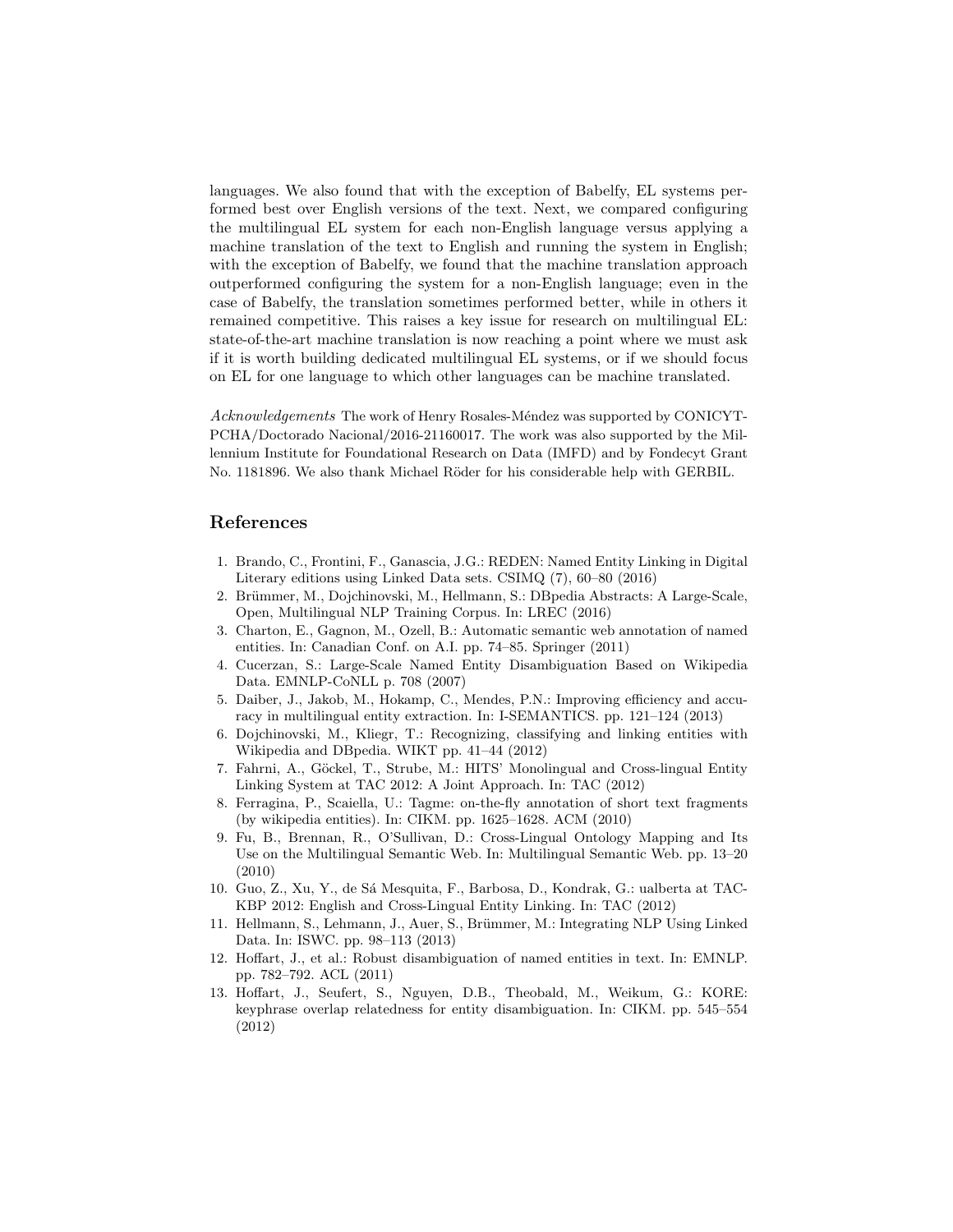languages. We also found that with the exception of Babelfy, EL systems performed best over English versions of the text. Next, we compared configuring the multilingual EL system for each non-English language versus applying a machine translation of the text to English and running the system in English; with the exception of Babelfy, we found that the machine translation approach outperformed configuring the system for a non-English language; even in the case of Babelfy, the translation sometimes performed better, while in others it remained competitive. This raises a key issue for research on multilingual EL: state-of-the-art machine translation is now reaching a point where we must ask if it is worth building dedicated multilingual EL systems, or if we should focus on EL for one language to which other languages can be machine translated.

Acknowledgements The work of Henry Rosales-Méndez was supported by CONICYT-PCHA/Doctorado Nacional/2016-21160017. The work was also supported by the Millennium Institute for Foundational Research on Data (IMFD) and by Fondecyt Grant No. 1181896. We also thank Michael Röder for his considerable help with GERBIL.

## References

- <span id="page-14-10"></span>1. Brando, C., Frontini, F., Ganascia, J.G.: REDEN: Named Entity Linking in Digital Literary editions using Linked Data sets. CSIMQ (7), 60–80 (2016)
- <span id="page-14-8"></span>2. Brümmer, M., Dojchinovski, M., Hellmann, S.: DBpedia Abstracts: A Large-Scale, Open, Multilingual NLP Training Corpus. In: LREC (2016)
- <span id="page-14-6"></span>3. Charton, E., Gagnon, M., Ozell, B.: Automatic semantic web annotation of named entities. In: Canadian Conf. on A.I. pp. 74–85. Springer (2011)
- <span id="page-14-9"></span>4. Cucerzan, S.: Large-Scale Named Entity Disambiguation Based on Wikipedia Data. EMNLP-CoNLL p. 708 (2007)
- <span id="page-14-3"></span>5. Daiber, J., Jakob, M., Hokamp, C., Mendes, P.N.: Improving efficiency and accuracy in multilingual entity extraction. In: I-SEMANTICS. pp. 121–124 (2013)
- <span id="page-14-2"></span>6. Dojchinovski, M., Kliegr, T.: Recognizing, classifying and linking entities with Wikipedia and DBpedia. WIKT pp. 41–44 (2012)
- <span id="page-14-5"></span>7. Fahrni, A., Göckel, T., Strube, M.: HITS' Monolingual and Cross-lingual Entity Linking System at TAC 2012: A Joint Approach. In: TAC (2012)
- <span id="page-14-4"></span>8. Ferragina, P., Scaiella, U.: Tagme: on-the-fly annotation of short text fragments (by wikipedia entities). In: CIKM. pp. 1625–1628. ACM (2010)
- <span id="page-14-12"></span>9. Fu, B., Brennan, R., O'Sullivan, D.: Cross-Lingual Ontology Mapping and Its Use on the Multilingual Semantic Web. In: Multilingual Semantic Web. pp. 13–20 (2010)
- <span id="page-14-7"></span>10. Guo, Z., Xu, Y., de S´a Mesquita, F., Barbosa, D., Kondrak, G.: ualberta at TAC-KBP 2012: English and Cross-Lingual Entity Linking. In: TAC (2012)
- <span id="page-14-11"></span>11. Hellmann, S., Lehmann, J., Auer, S., Brümmer, M.: Integrating NLP Using Linked Data. In: ISWC. pp. 98–113 (2013)
- <span id="page-14-0"></span>12. Hoffart, J., et al.: Robust disambiguation of named entities in text. In: EMNLP. pp. 782–792. ACL (2011)
- <span id="page-14-1"></span>13. Hoffart, J., Seufert, S., Nguyen, D.B., Theobald, M., Weikum, G.: KORE: keyphrase overlap relatedness for entity disambiguation. In: CIKM. pp. 545–554 (2012)